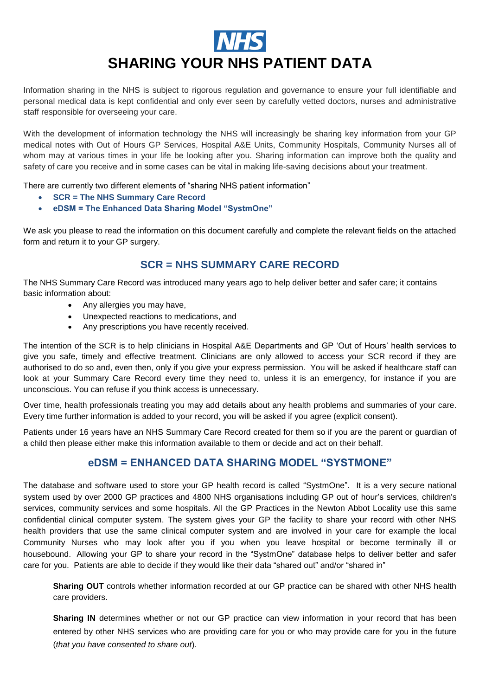# **SHARING YOUR NHS PATIENT DATA**

 Information sharing in the NHS is subject to rigorous regulation and governance to ensure your full identifiable and personal medical data is kept confidential and only ever seen by carefully vetted doctors, nurses and administrative staff responsible for overseeing your care.

 With the development of information technology the NHS will increasingly be sharing key information from your GP medical notes with Out of Hours GP Services, Hospital A&E Units, Community Hospitals, Community Nurses all of whom may at various times in your life be looking after you. Sharing information can improve both the quality and safety of care you receive and in some cases can be vital in making life-saving decisions about your treatment.

There are currently two different elements of "sharing NHS patient information"

- **SCR = The NHS Summary Care Record**
- **eDSM = The Enhanced Data Sharing Model "SystmOne"**

 We ask you please to read the information on this document carefully and complete the relevant fields on the attached form and return it to your GP surgery.

### **SCR = NHS SUMMARY CARE RECORD**

The NHS Summary Care Record was introduced many years ago to help deliver better and safer care; it contains<br>basic information about:

- Any allergies you may have,
- Unexpected reactions to medications, and
- Any prescriptions you have recently received.

 The intention of the SCR is to help clinicians in Hospital A&E Departments and GP 'Out of Hours' health services to give you safe, timely and effective treatment. Clinicians are only allowed to access your SCR record if they are authorised to do so and, even then, only if you give your express permission. You will be asked if healthcare staff can look at your Summary Care Record every time they need to, unless it is an emergency, for instance if you are unconscious. You can refuse if you think access is unnecessary.

 Over time, health professionals treating you may add details about any health problems and summaries of your care. Every time further information is added to your record, you will be asked if you agree (explicit consent).

 Patients under 16 years have an NHS Summary Care Record created for them so if you are the parent or guardian of a child then please either make this information available to them or decide and act on their behalf.

#### **eDSM = ENHANCED DATA SHARING MODEL "SYSTMONE"**

 The database and software used to store your GP health record is called "SystmOne". It is a very secure national system used by over 2000 GP practices and 4800 NHS organisations including GP out of hour's services, children's services, community services and some hospitals. All the GP Practices in the Newton Abbot Locality use this same confidential clinical computer system. The system gives your GP the facility to share your record with other NHS health providers that use the same clinical computer system and are involved in your care for example the local Community Nurses who may look after you if you when you leave hospital or become terminally ill or housebound. Allowing your GP to share your record in the "SystmOne" database helps to deliver better and safer care for you. Patients are able to decide if they would like their data "shared out" and/or "shared in"

 **Sharing OUT** controls whether information recorded at our GP practice can be shared with other NHS health care providers.

 **Sharing IN** determines whether or not our GP practice can view information in your record that has been entered by other NHS services who are providing care for you or who may provide care for you in the future (*that you have consented to share out*).